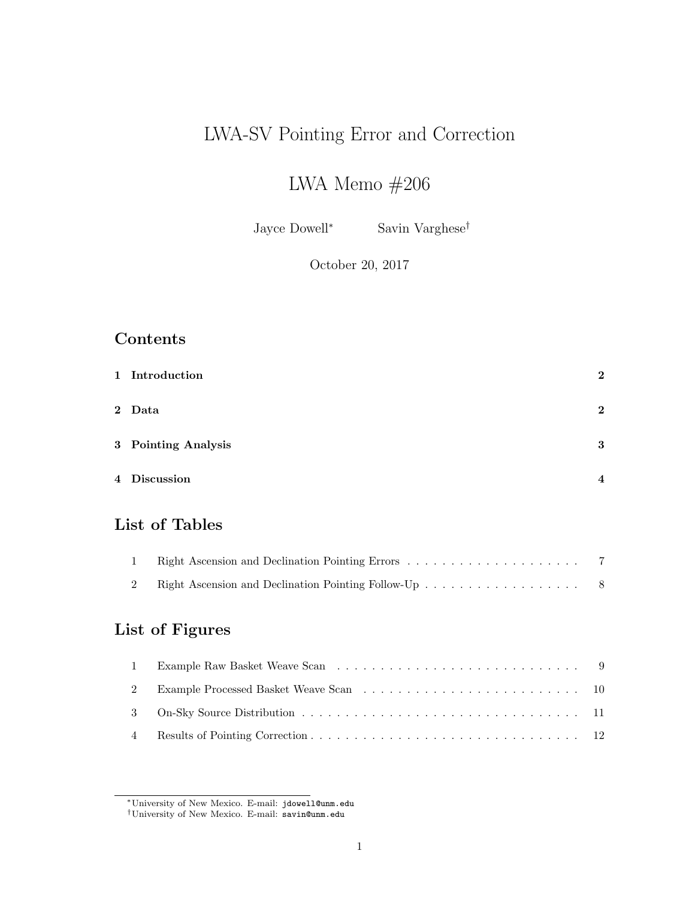# LWA-SV Pointing Error and Correction

# LWA Memo $\#206$

Jayce Dowell<sup>∗</sup> Savin Varghese†

October 20, 2017

## Contents

| 1 Introduction      | $\overline{2}$ |
|---------------------|----------------|
| 2 Data              | $\overline{2}$ |
| 3 Pointing Analysis | 3              |
| 4 Discussion        | 4              |

# List of Tables

# List of Figures

<sup>∗</sup>University of New Mexico. E-mail: jdowell@unm.edu

<sup>†</sup>University of New Mexico. E-mail: savin@unm.edu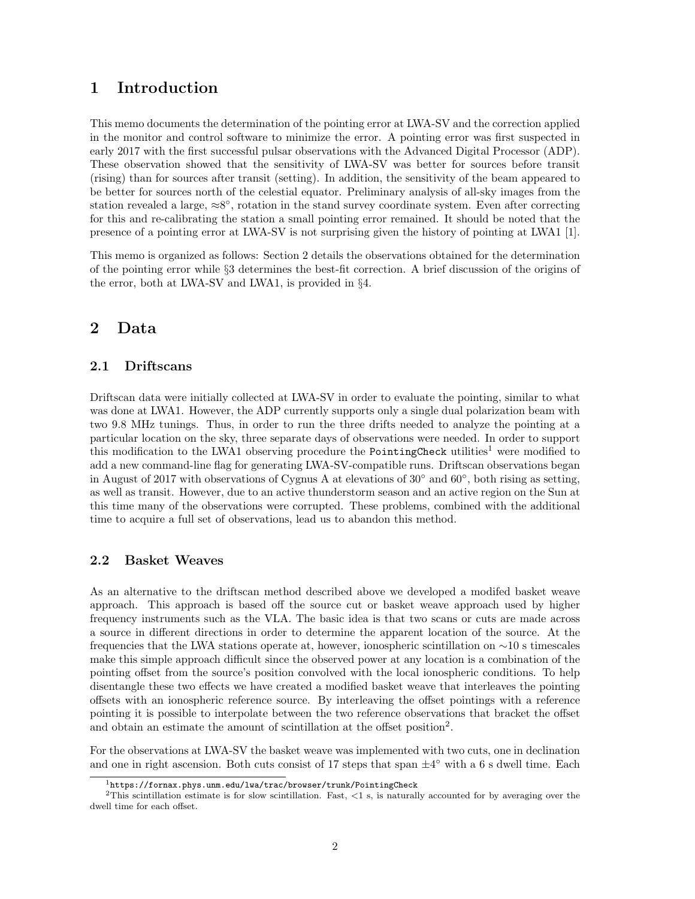### 1 Introduction

This memo documents the determination of the pointing error at LWA-SV and the correction applied in the monitor and control software to minimize the error. A pointing error was first suspected in early 2017 with the first successful pulsar observations with the Advanced Digital Processor (ADP). These observation showed that the sensitivity of LWA-SV was better for sources before transit (rising) than for sources after transit (setting). In addition, the sensitivity of the beam appeared to be better for sources north of the celestial equator. Preliminary analysis of all-sky images from the station revealed a large,  $\approx 8^{\circ}$ , rotation in the stand survey coordinate system. Even after correcting for this and re-calibrating the station a small pointing error remained. It should be noted that the presence of a pointing error at LWA-SV is not surprising given the history of pointing at LWA1 [1].

This memo is organized as follows: Section 2 details the observations obtained for the determination of the pointing error while §3 determines the best-fit correction. A brief discussion of the origins of the error, both at LWA-SV and LWA1, is provided in §4.

### 2 Data

#### 2.1 Driftscans

Driftscan data were initially collected at LWA-SV in order to evaluate the pointing, similar to what was done at LWA1. However, the ADP currently supports only a single dual polarization beam with two 9.8 MHz tunings. Thus, in order to run the three drifts needed to analyze the pointing at a particular location on the sky, three separate days of observations were needed. In order to support this modification to the LWA1 observing procedure the PointingCheck utilities<sup>1</sup> were modified to add a new command-line flag for generating LWA-SV-compatible runs. Driftscan observations began in August of 2017 with observations of Cygnus A at elevations of 30◦ and 60◦ , both rising as setting, as well as transit. However, due to an active thunderstorm season and an active region on the Sun at this time many of the observations were corrupted. These problems, combined with the additional time to acquire a full set of observations, lead us to abandon this method.

#### 2.2 Basket Weaves

As an alternative to the driftscan method described above we developed a modifed basket weave approach. This approach is based off the source cut or basket weave approach used by higher frequency instruments such as the VLA. The basic idea is that two scans or cuts are made across a source in different directions in order to determine the apparent location of the source. At the frequencies that the LWA stations operate at, however, ionospheric scintillation on ∼10 s timescales make this simple approach difficult since the observed power at any location is a combination of the pointing offset from the source's position convolved with the local ionospheric conditions. To help disentangle these two effects we have created a modified basket weave that interleaves the pointing offsets with an ionospheric reference source. By interleaving the offset pointings with a reference pointing it is possible to interpolate between the two reference observations that bracket the offset and obtain an estimate the amount of scintillation at the offset position<sup>2</sup>.

For the observations at LWA-SV the basket weave was implemented with two cuts, one in declination and one in right ascension. Both cuts consist of 17 steps that span  $\pm 4^{\circ}$  with a 6 s dwell time. Each

 $1$ https://fornax.phys.unm.edu/lwa/trac/browser/trunk/PointingCheck

 $2$ This scintillation estimate is for slow scintillation. Fast, <1 s, is naturally accounted for by averaging over the dwell time for each offset.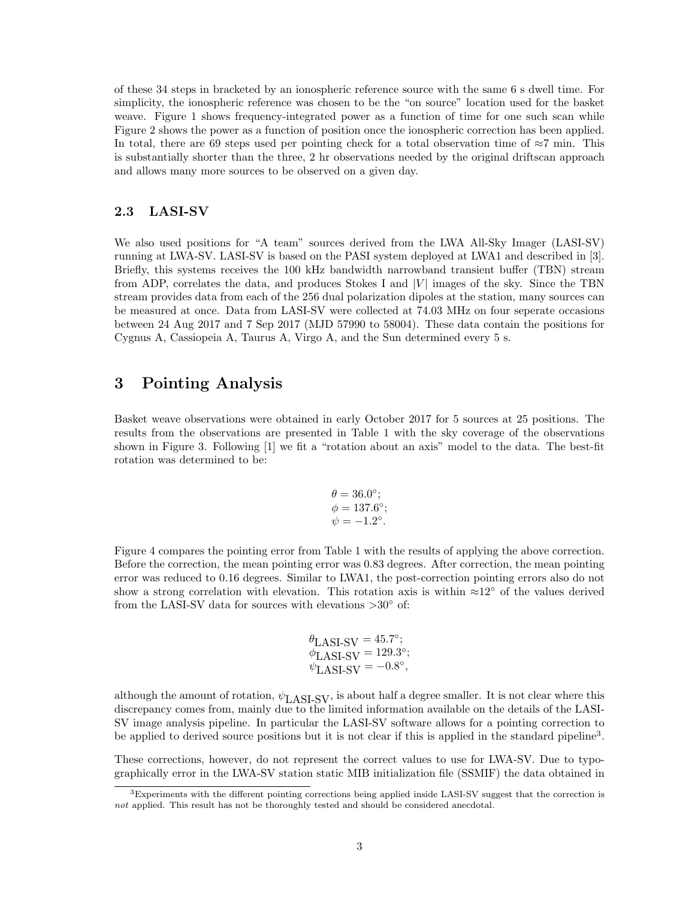of these 34 steps in bracketed by an ionospheric reference source with the same 6 s dwell time. For simplicity, the ionospheric reference was chosen to be the "on source" location used for the basket weave. Figure 1 shows frequency-integrated power as a function of time for one such scan while Figure 2 shows the power as a function of position once the ionospheric correction has been applied. In total, there are 69 steps used per pointing check for a total observation time of  $\approx 7$  min. This is substantially shorter than the three, 2 hr observations needed by the original driftscan approach and allows many more sources to be observed on a given day.

#### 2.3 LASI-SV

We also used positions for "A team" sources derived from the LWA All-Sky Imager (LASI-SV) running at LWA-SV. LASI-SV is based on the PASI system deployed at LWA1 and described in [3]. Briefly, this systems receives the 100 kHz bandwidth narrowband transient buffer (TBN) stream from ADP, correlates the data, and produces Stokes I and  $|V|$  images of the sky. Since the TBN stream provides data from each of the 256 dual polarization dipoles at the station, many sources can be measured at once. Data from LASI-SV were collected at 74.03 MHz on four seperate occasions between 24 Aug 2017 and 7 Sep 2017 (MJD 57990 to 58004). These data contain the positions for Cygnus A, Cassiopeia A, Taurus A, Virgo A, and the Sun determined every 5 s.

### 3 Pointing Analysis

Basket weave observations were obtained in early October 2017 for 5 sources at 25 positions. The results from the observations are presented in Table 1 with the sky coverage of the observations shown in Figure 3. Following [1] we fit a "rotation about an axis" model to the data. The best-fit rotation was determined to be:

$$
\theta = 36.0^{\circ};
$$
  
\n $\phi = 137.6^{\circ};$   
\n $\psi = -1.2^{\circ}.$ 

Figure 4 compares the pointing error from Table 1 with the results of applying the above correction. Before the correction, the mean pointing error was 0.83 degrees. After correction, the mean pointing error was reduced to 0.16 degrees. Similar to LWA1, the post-correction pointing errors also do not show a strong correlation with elevation. This rotation axis is within  $\approx 12°$  of the values derived from the LASI-SV data for sources with elevations  $>30^{\circ}$  of:

$$
\theta_{\text{LASI-SV}} = 45.7^{\circ};
$$
  
\n
$$
\phi_{\text{LASI-SV}} = 129.3^{\circ};
$$
  
\n
$$
\psi_{\text{LASI-SV}} = -0.8^{\circ},
$$

although the amount of rotation,  $\psi_{\text{LAST-SV}}$ , is about half a degree smaller. It is not clear where this discrepancy comes from, mainly due to the limited information available on the details of the LASI-SV image analysis pipeline. In particular the LASI-SV software allows for a pointing correction to be applied to derived source positions but it is not clear if this is applied in the standard pipeline<sup>3</sup>.

These corrections, however, do not represent the correct values to use for LWA-SV. Due to typographically error in the LWA-SV station static MIB initialization file (SSMIF) the data obtained in

<sup>3</sup>Experiments with the different pointing corrections being applied inside LASI-SV suggest that the correction is not applied. This result has not be thoroughly tested and should be considered anecdotal.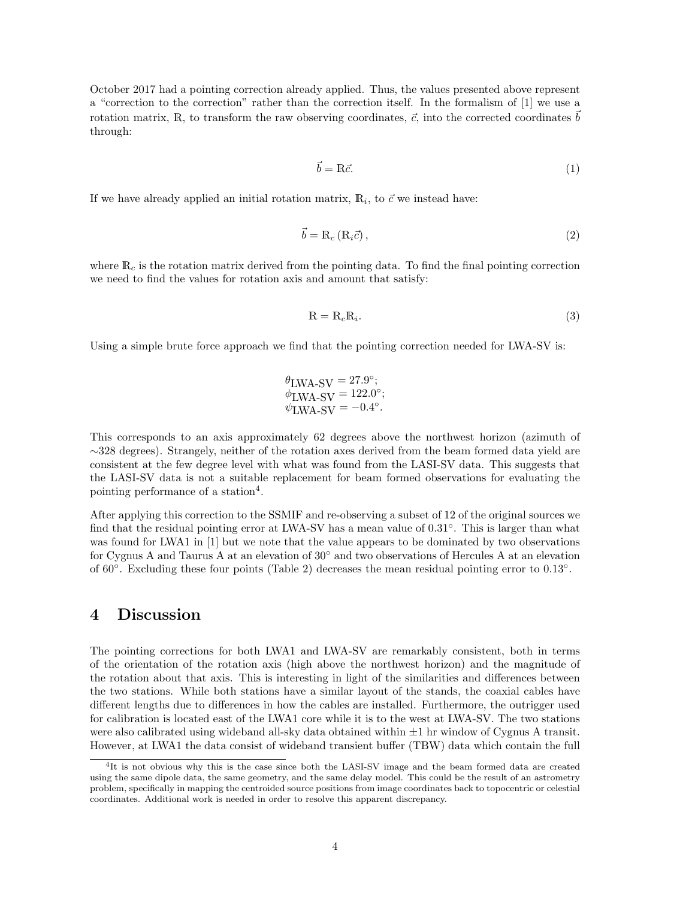October 2017 had a pointing correction already applied. Thus, the values presented above represent a "correction to the correction" rather than the correction itself. In the formalism of [1] we use a rotation matrix, R, to transform the raw observing coordinates,  $\vec{c}$ , into the corrected coordinates  $\vec{b}$ through:

$$
\vec{b} = \mathbb{R}\vec{c}.\tag{1}
$$

If we have already applied an initial rotation matrix,  $\mathbb{R}_i$ , to  $\vec{c}$  we instead have:

$$
\vec{b} = \mathbb{R}_c \left( \mathbb{R}_i \vec{c} \right),\tag{2}
$$

where  $\mathbb{R}_c$  is the rotation matrix derived from the pointing data. To find the final pointing correction we need to find the values for rotation axis and amount that satisfy:

$$
\mathbb{R} = \mathbb{R}_c \mathbb{R}_i. \tag{3}
$$

Using a simple brute force approach we find that the pointing correction needed for LWA-SV is:

$$
\begin{array}{l} \theta_{\text{LWA-SV}} = 27.9^\circ;\\ \phi_{\text{LWA-SV}} = 122.0^\circ;\\ \psi_{\text{LWA-SV}} = -0.4^\circ. \end{array}
$$

This corresponds to an axis approximately 62 degrees above the northwest horizon (azimuth of ∼328 degrees). Strangely, neither of the rotation axes derived from the beam formed data yield are consistent at the few degree level with what was found from the LASI-SV data. This suggests that the LASI-SV data is not a suitable replacement for beam formed observations for evaluating the pointing performance of a station<sup>4</sup>.

After applying this correction to the SSMIF and re-observing a subset of 12 of the original sources we find that the residual pointing error at LWA-SV has a mean value of 0.31◦ . This is larger than what was found for LWA1 in [1] but we note that the value appears to be dominated by two observations for Cygnus A and Taurus A at an elevation of 30◦ and two observations of Hercules A at an elevation of 60°. Excluding these four points (Table 2) decreases the mean residual pointing error to 0.13°.

### 4 Discussion

The pointing corrections for both LWA1 and LWA-SV are remarkably consistent, both in terms of the orientation of the rotation axis (high above the northwest horizon) and the magnitude of the rotation about that axis. This is interesting in light of the similarities and differences between the two stations. While both stations have a similar layout of the stands, the coaxial cables have different lengths due to differences in how the cables are installed. Furthermore, the outrigger used for calibration is located east of the LWA1 core while it is to the west at LWA-SV. The two stations were also calibrated using wideband all-sky data obtained within  $\pm 1$  hr window of Cygnus A transit. However, at LWA1 the data consist of wideband transient buffer (TBW) data which contain the full

<sup>&</sup>lt;sup>4</sup>It is not obvious why this is the case since both the LASI-SV image and the beam formed data are created using the same dipole data, the same geometry, and the same delay model. This could be the result of an astrometry problem, specifically in mapping the centroided source positions from image coordinates back to topocentric or celestial coordinates. Additional work is needed in order to resolve this apparent discrepancy.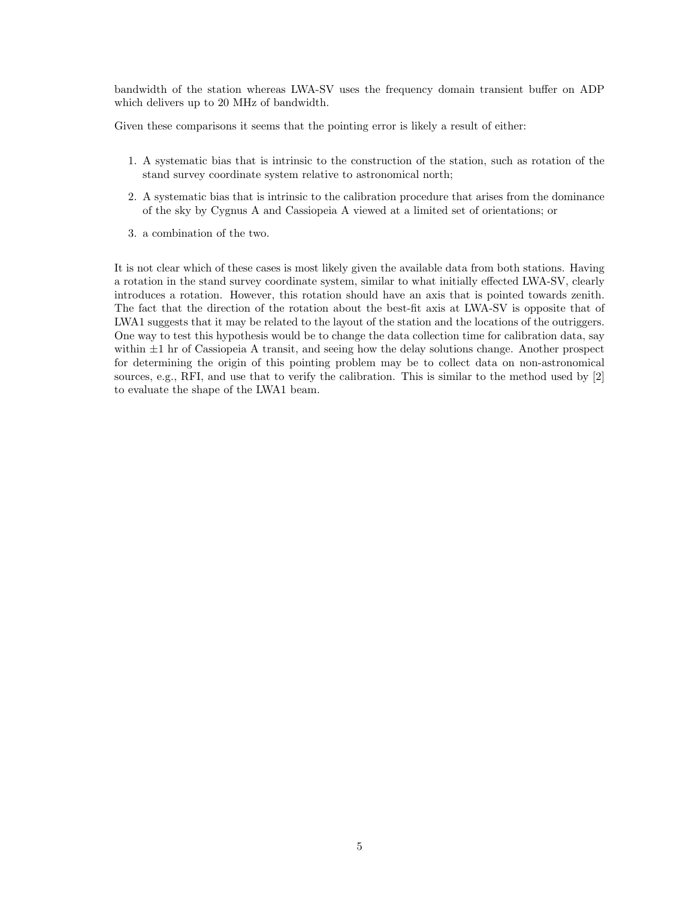bandwidth of the station whereas LWA-SV uses the frequency domain transient buffer on ADP which delivers up to 20 MHz of bandwidth.

Given these comparisons it seems that the pointing error is likely a result of either:

- 1. A systematic bias that is intrinsic to the construction of the station, such as rotation of the stand survey coordinate system relative to astronomical north;
- 2. A systematic bias that is intrinsic to the calibration procedure that arises from the dominance of the sky by Cygnus A and Cassiopeia A viewed at a limited set of orientations; or
- 3. a combination of the two.

It is not clear which of these cases is most likely given the available data from both stations. Having a rotation in the stand survey coordinate system, similar to what initially effected LWA-SV, clearly introduces a rotation. However, this rotation should have an axis that is pointed towards zenith. The fact that the direction of the rotation about the best-fit axis at LWA-SV is opposite that of LWA1 suggests that it may be related to the layout of the station and the locations of the outriggers. One way to test this hypothesis would be to change the data collection time for calibration data, say within  $\pm 1$  hr of Cassiopeia A transit, and seeing how the delay solutions change. Another prospect for determining the origin of this pointing problem may be to collect data on non-astronomical sources, e.g., RFI, and use that to verify the calibration. This is similar to the method used by [2] to evaluate the shape of the LWA1 beam.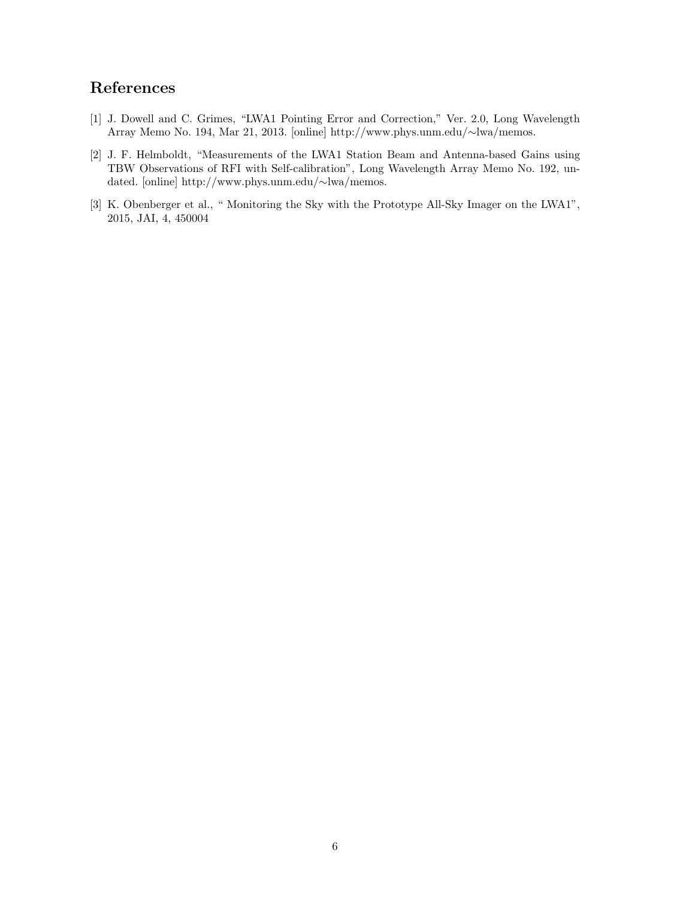## References

- [1] J. Dowell and C. Grimes, "LWA1 Pointing Error and Correction," Ver. 2.0, Long Wavelength Array Memo No. 194, Mar 21, 2013. [online] http://www.phys.unm.edu/∼lwa/memos.
- [2] J. F. Helmboldt, "Measurements of the LWA1 Station Beam and Antenna-based Gains using TBW Observations of RFI with Self-calibration", Long Wavelength Array Memo No. 192, undated. [online] http://www.phys.unm.edu/∼lwa/memos.
- [3] K. Obenberger et al., " Monitoring the Sky with the Prototype All-Sky Imager on the LWA1", 2015, JAI, 4, 450004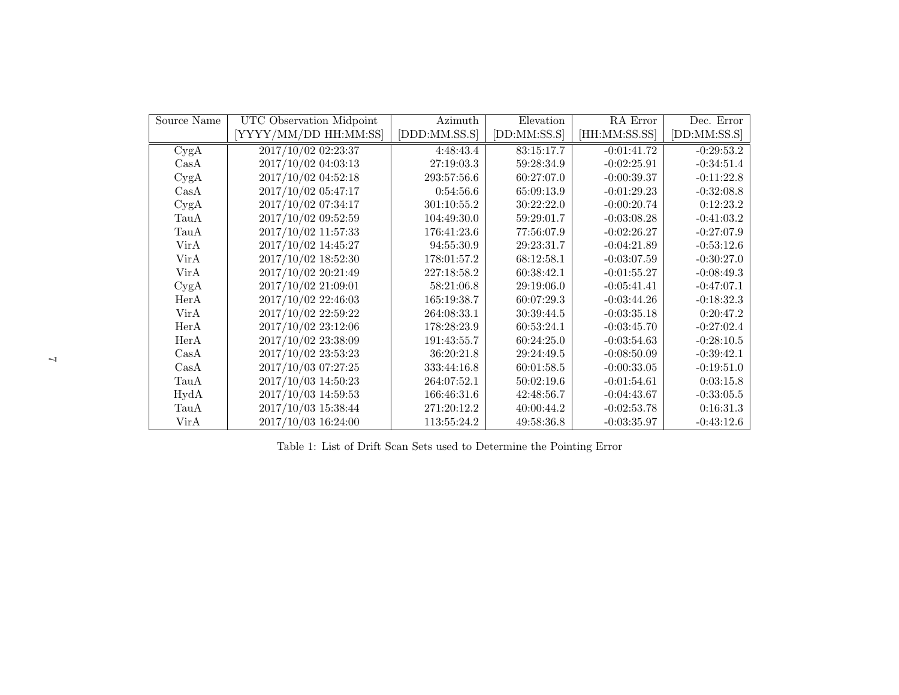| Source Name                     | UTC Observation Midpoint | Azimuth       | Elevation    | RA Error      | Dec. Error   |
|---------------------------------|--------------------------|---------------|--------------|---------------|--------------|
|                                 | [YYYY/MM/DD HH:MM:SS]    | [DDD:MM.SS.S] | [DD:MM:SS.S] | [HH:MM:SS.SS] | [DD:MM:SS.S] |
| CygA                            | 2017/10/02 02:23:37      | 4:48:43.4     | 83:15:17.7   | $-0:01:41.72$ | $-0:29:53.2$ |
| $\operatorname{Cas}\nolimits A$ | 2017/10/02 04:03:13      | 27:19:03.3    | 59:28:34.9   | $-0:02:25.91$ | $-0:34:51.4$ |
| CygA                            | 2017/10/02 04:52:18      | 293:57:56.6   | 60:27:07.0   | $-0:00:39.37$ | $-0:11:22.8$ |
| $\operatorname{Cas}\nolimits A$ | 2017/10/02 05:47:17      | 0:54:56.6     | 65:09:13.9   | $-0:01:29.23$ | $-0.32:08.8$ |
| CygA                            | 2017/10/02 07:34:17      | 301:10:55.2   | 30:22:22.0   | $-0:00:20.74$ | 0:12:23.2    |
| TauA                            | $2017/10/02$ 09:52:59    | 104:49:30.0   | 59:29:01.7   | $-0.03:08.28$ | $-0:41:03.2$ |
| TauA                            | 2017/10/02 11:57:33      | 176:41:23.6   | 77:56:07.9   | $-0:02:26.27$ | $-0:27:07.9$ |
| VirA                            | 2017/10/02 14:45:27      | 94:55:30.9    | 29:23:31.7   | $-0:04:21.89$ | $-0:53:12.6$ |
| VirA                            | 2017/10/02 18:52:30      | 178:01:57.2   | 68:12:58.1   | $-0.03:07.59$ | $-0:30:27.0$ |
| VirA                            | 2017/10/02 20:21:49      | 227:18:58.2   | 60:38:42.1   | $-0:01:55.27$ | $-0.08:49.3$ |
| CygA                            | 2017/10/02 21:09:01      | 58:21:06.8    | 29:19:06.0   | $-0:05:41.41$ | $-0.47:07.1$ |
| HerA                            | 2017/10/02 22:46:03      | 165:19:38.7   | 60:07:29.3   | $-0:03:44.26$ | $-0.18:32.3$ |
| VirA                            | 2017/10/02 22:59:22      | 264:08:33.1   | 30:39:44.5   | $-0:03:35.18$ | 0:20:47.2    |
| HerA                            | 2017/10/02 23:12:06      | 178:28:23.9   | 60:53:24.1   | $-0:03:45.70$ | $-0:27:02.4$ |
| HerA                            | 2017/10/02 23:38:09      | 191:43:55.7   | 60:24:25.0   | $-0.03:54.63$ | $-0:28:10.5$ |
| $\operatorname{Cas}\nolimits A$ | 2017/10/02 23:53:23      | 36:20:21.8    | 29:24:49.5   | $-0:08:50.09$ | $-0:39:42.1$ |
| $\operatorname{Cas}\nolimits A$ | 2017/10/03 07:27:25      | 333:44:16.8   | 60:01:58.5   | $-0:00:33.05$ | $-0.19:51.0$ |
| TauA                            | 2017/10/03 14:50:23      | 264:07:52.1   | 50:02:19.6   | $-0:01:54.61$ | 0:03:15.8    |
| HydA                            | 2017/10/03 14:59:53      | 166:46:31.6   | 42:48:56.7   | $-0.04:43.67$ | $-0:33:05.5$ |
| TauA                            | 2017/10/03 15:38:44      | 271:20:12.2   | 40:00:44.2   | $-0:02:53.78$ | 0:16:31.3    |
| VirA                            | 2017/10/03 16:24:00      | 113:55:24.2   | 49:58:36.8   | $-0:03:35.97$ | $-0.43:12.6$ |

Table 1: List of Drift Scan Sets used to Determine the Pointing Error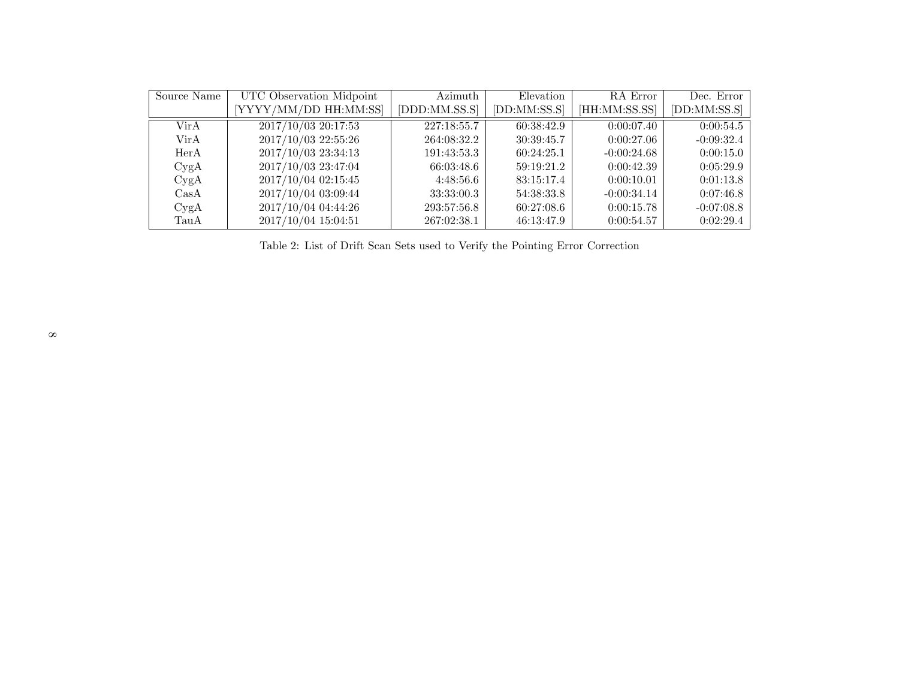| Source Name | UTC Observation Midpoint | Azimuth       | Elevation    | RA Error      | Dec. Error   |
|-------------|--------------------------|---------------|--------------|---------------|--------------|
|             | YYYY/MM/DD HH:MM:SS]     | [DDD:MM.SS.S] | [DD:MM:SS.S] | [HH:MM:SS.SS] | [DD:MM:SS.S] |
| Vir A       | 2017/10/03 20:17:53      | 227:18:55.7   | 60:38:42.9   | 0:00:07.40    | 0:00:54.5    |
| Vir A       | 2017/10/03 22:55:26      | 264:08:32.2   | 30:39:45.7   | 0:00:27.06    | $-0:09:32.4$ |
| HerA        | 2017/10/03 23:34:13      | 191:43:53.3   | 60:24:25.1   | $-0:00:24.68$ | 0:00:15.0    |
| CygA        | 2017/10/03 23:47:04      | 66:03:48.6    | 59:19:21.2   | 0:00:42.39    | 0:05:29.9    |
| CygA        | 2017/10/04 02:15:45      | 4:48:56.6     | 83:15:17.4   | 0:00:10.01    | 0:01:13.8    |
| $\rm CasA$  | 2017/10/04 03:09:44      | 33:33:00.3    | 54:38:33.8   | $-0:00:34.14$ | 0:07:46.8    |
| CygA        | 2017/10/04 04:44:26      | 293:57:56.8   | 60:27:08.6   | 0:00:15.78    | $-0.07:08.8$ |
| TauA        | 2017/10/04 15:04:51      | 267:02:38.1   | 46:13:47.9   | 0:00:54.57    | 0:02:29.4    |

Table 2: List of Drift Scan Sets used to Verify the Pointing Error Correction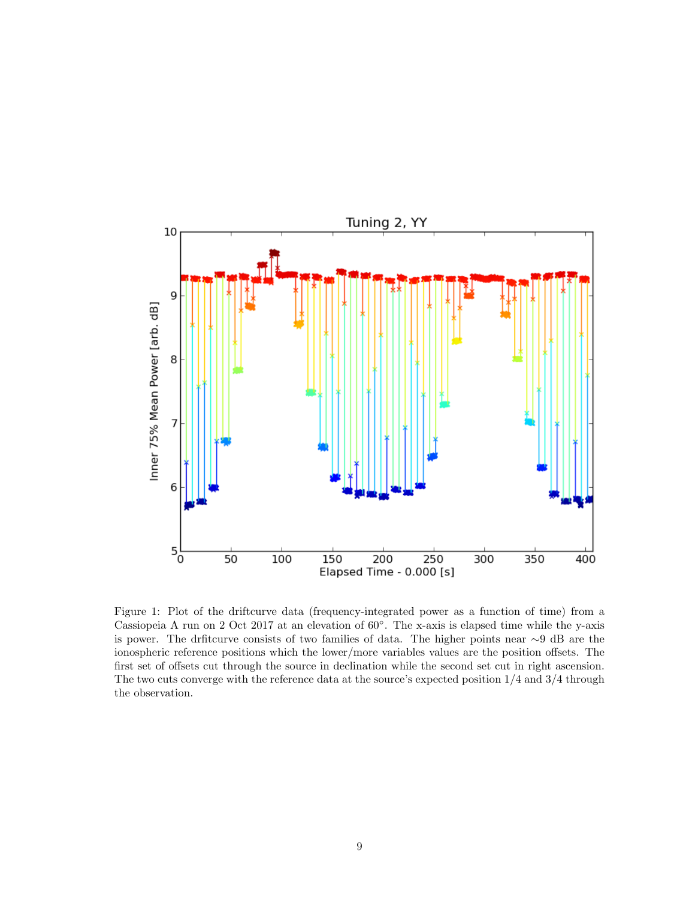

Figure 1: Plot of the driftcurve data (frequency-integrated power as a function of time) from a Cassiopeia A run on 2 Oct 2017 at an elevation of 60◦ . The x-axis is elapsed time while the y-axis is power. The drfitcurve consists of two families of data. The higher points near ∼9 dB are the ionospheric reference positions which the lower/more variables values are the position offsets. The first set of offsets cut through the source in declination while the second set cut in right ascension. The two cuts converge with the reference data at the source's expected position 1/4 and 3/4 through the observation.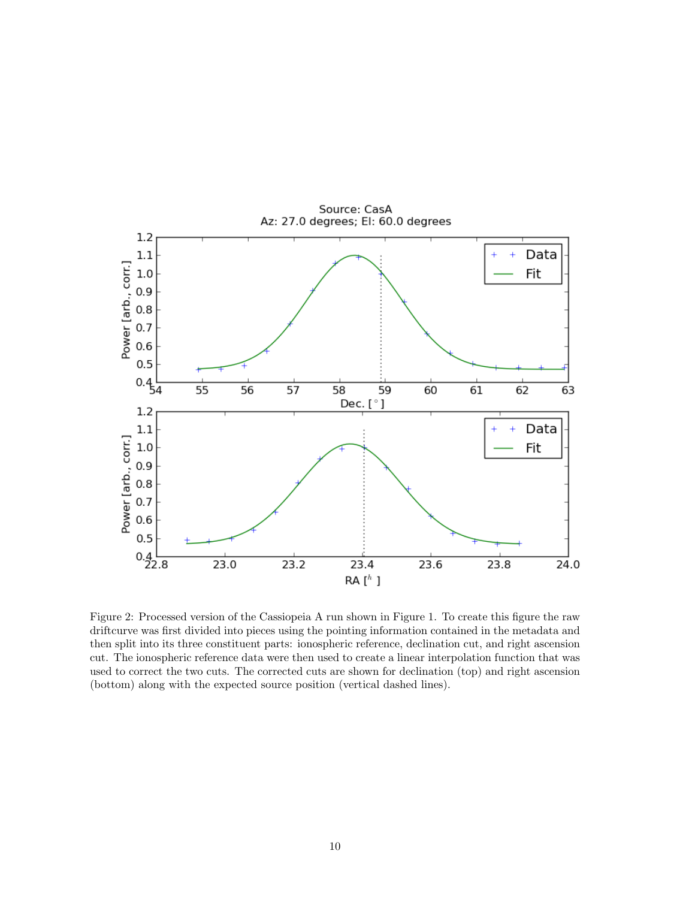

Figure 2: Processed version of the Cassiopeia A run shown in Figure 1. To create this figure the raw driftcurve was first divided into pieces using the pointing information contained in the metadata and then split into its three constituent parts: ionospheric reference, declination cut, and right ascension cut. The ionospheric reference data were then used to create a linear interpolation function that was used to correct the two cuts. The corrected cuts are shown for declination (top) and right ascension (bottom) along with the expected source position (vertical dashed lines).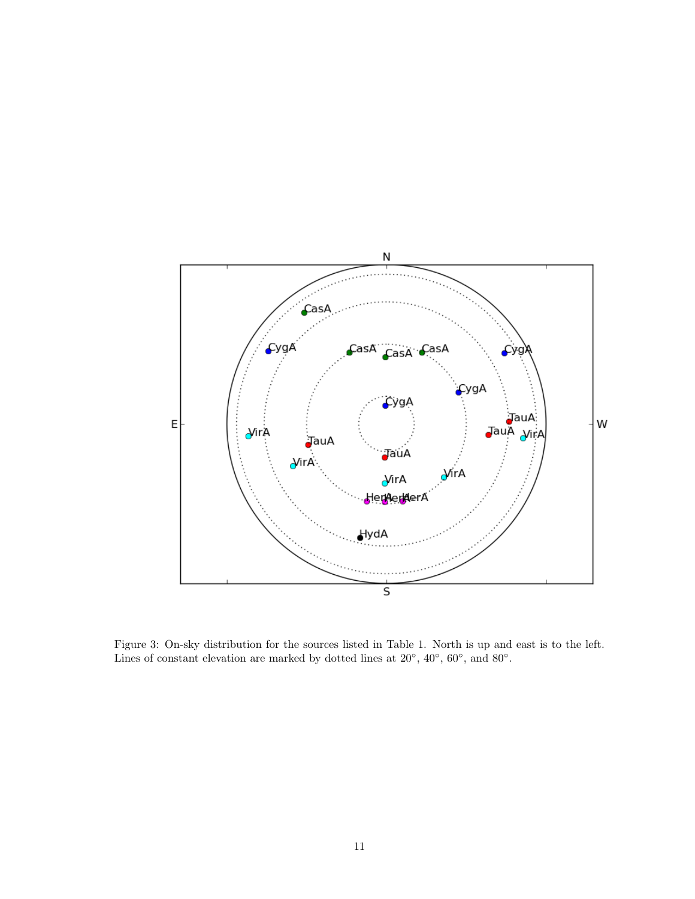

Figure 3: On-sky distribution for the sources listed in Table 1. North is up and east is to the left. Lines of constant elevation are marked by dotted lines at  $20^{\circ}$ ,  $40^{\circ}$ ,  $60^{\circ}$ , and  $80^{\circ}$ .